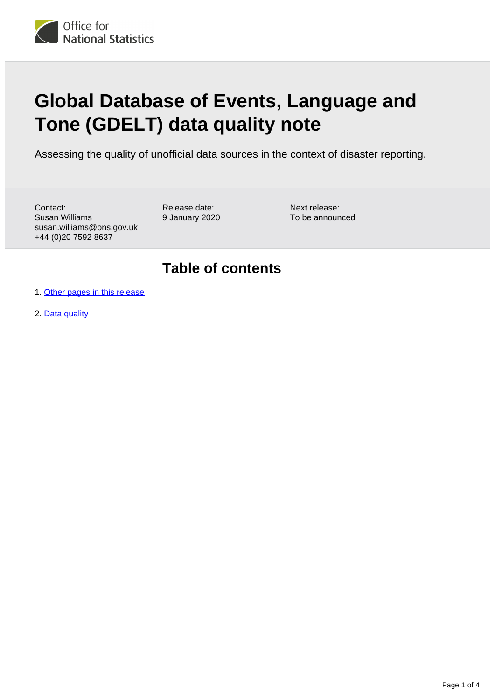

# **Global Database of Events, Language and Tone (GDELT) data quality note**

Assessing the quality of unofficial data sources in the context of disaster reporting.

Contact: Susan Williams susan.williams@ons.gov.uk +44 (0)20 7592 8637

Release date: 9 January 2020 Next release: To be announced

### **Table of contents**

- 1. [Other pages in this release](#page-1-0)
- 2. [Data quality](#page-1-1)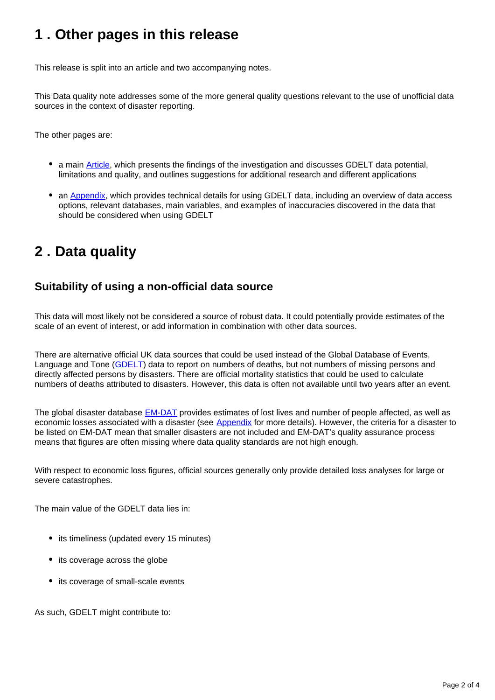## <span id="page-1-0"></span>**1 . Other pages in this release**

This release is split into an article and two accompanying notes.

This Data quality note addresses some of the more general quality questions relevant to the use of unofficial data sources in the context of disaster reporting.

The other pages are:

- a main [Article](https://www.ons.gov.uk/peoplepopulationandcommunity/birthsdeathsandmarriages/deaths/methodologies/explorationoftheglobaldatabaseofeventslanguageandtonegdeltwithspecificapplicationtodisasterreporting), which presents the findings of the investigation and discusses GDELT data potential, limitations and quality, and outlines suggestions for additional research and different applications
- an [Appendix,](https://www.ons.gov.uk/peoplepopulationandcommunity/birthsdeathsandmarriages/deaths/methodologies/globaldatabaseofeventslanguageandtonegdeltappendix) which provides technical details for using GDELT data, including an overview of data access options, relevant databases, main variables, and examples of inaccuracies discovered in the data that should be considered when using GDELT

# <span id="page-1-1"></span>**2 . Data quality**

### **Suitability of using a non-official data source**

This data will most likely not be considered a source of robust data. It could potentially provide estimates of the scale of an event of interest, or add information in combination with other data sources.

There are alternative official UK data sources that could be used instead of the Global Database of Events, Language and Tone [\(GDELT](https://www.gdeltproject.org/)) data to report on numbers of deaths, but not numbers of missing persons and directly affected persons by disasters. There are official mortality statistics that could be used to calculate numbers of deaths attributed to disasters. However, this data is often not available until two years after an event.

The global disaster database **[EM-DAT](https://www.emdat.be/database)** provides estimates of lost lives and number of people affected, as well as economic losses associated with a disaster (see [Appendix](https://www.ons.gov.uk/peoplepopulationandcommunity/birthsdeathsandmarriages/deaths/methodologies/globaldatabaseofeventslanguageandtonegdeltappendix#known-disaster-databases) for more details). However, the criteria for a disaster to be listed on EM-DAT mean that smaller disasters are not included and EM-DAT's quality assurance process means that figures are often missing where data quality standards are not high enough.

With respect to economic loss figures, official sources generally only provide detailed loss analyses for large or severe catastrophes.

The main value of the GDELT data lies in:

- its timeliness (updated every 15 minutes)
- its coverage across the globe
- its coverage of small-scale events

As such, GDELT might contribute to: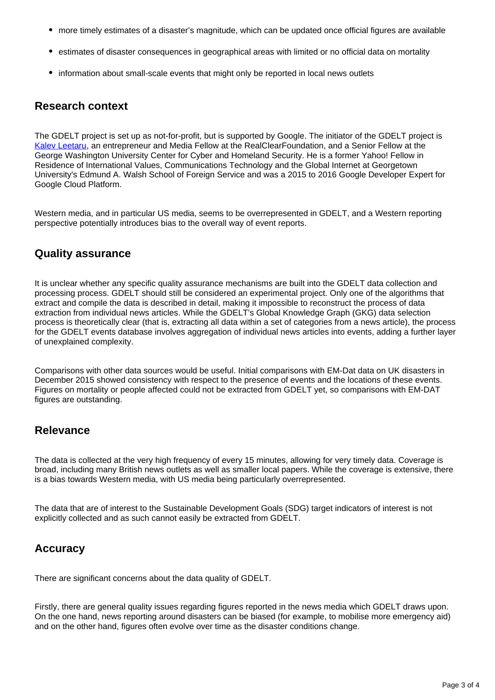- more timely estimates of a disaster's magnitude, which can be updated once official figures are available
- estimates of disaster consequences in geographical areas with limited or no official data on mortality
- information about small-scale events that might only be reported in local news outlets

#### **Research context**

The GDELT project is set up as not-for-profit, but is supported by Google. The initiator of the GDELT project is [Kalev Leetaru](https://www.kalevleetaru.com/), an entrepreneur and Media Fellow at the RealClearFoundation, and a Senior Fellow at the George Washington University Center for Cyber and Homeland Security. He is a former Yahoo! Fellow in Residence of International Values, Communications Technology and the Global Internet at Georgetown University's Edmund A. Walsh School of Foreign Service and was a 2015 to 2016 Google Developer Expert for Google Cloud Platform.

Western media, and in particular US media, seems to be overrepresented in GDELT, and a Western reporting perspective potentially introduces bias to the overall way of event reports.

#### **Quality assurance**

It is unclear whether any specific quality assurance mechanisms are built into the GDELT data collection and processing process. GDELT should still be considered an experimental project. Only one of the algorithms that extract and compile the data is described in detail, making it impossible to reconstruct the process of data extraction from individual news articles. While the GDELT's Global Knowledge Graph (GKG) data selection process is theoretically clear (that is, extracting all data within a set of categories from a news article), the process for the GDELT events database involves aggregation of individual news articles into events, adding a further layer of unexplained complexity.

Comparisons with other data sources would be useful. Initial comparisons with EM-Dat data on UK disasters in December 2015 showed consistency with respect to the presence of events and the locations of these events. Figures on mortality or people affected could not be extracted from GDELT yet, so comparisons with EM-DAT figures are outstanding.

#### **Relevance**

The data is collected at the very high frequency of every 15 minutes, allowing for very timely data. Coverage is broad, including many British news outlets as well as smaller local papers. While the coverage is extensive, there is a bias towards Western media, with US media being particularly overrepresented.

The data that are of interest to the Sustainable Development Goals (SDG) target indicators of interest is not explicitly collected and as such cannot easily be extracted from GDELT.

#### **Accuracy**

There are significant concerns about the data quality of GDELT.

Firstly, there are general quality issues regarding figures reported in the news media which GDELT draws upon. On the one hand, news reporting around disasters can be biased (for example, to mobilise more emergency aid) and on the other hand, figures often evolve over time as the disaster conditions change.